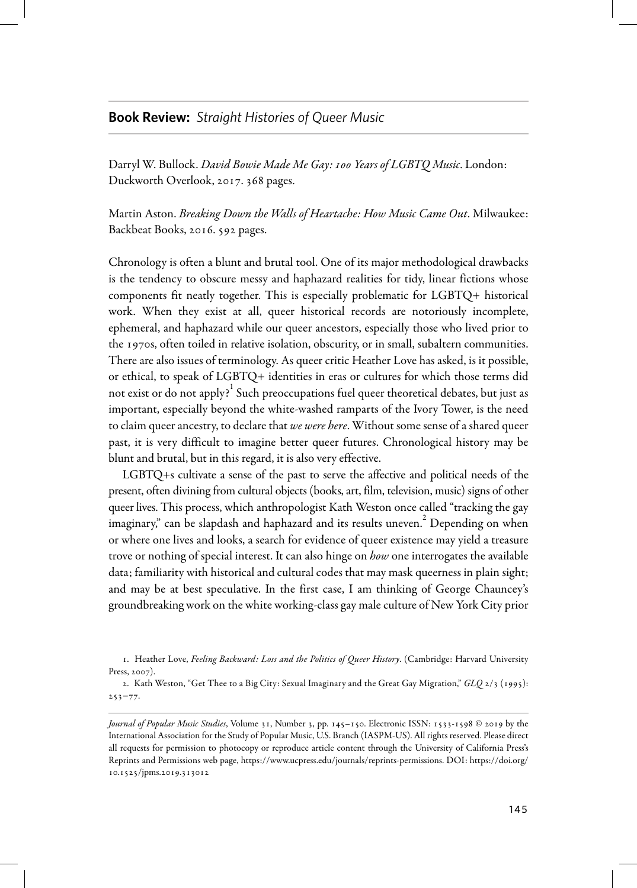## **Book Review:** *Straight Histories of Queer Music*

Darryl W. Bullock. David Bowie Made Me Gay: 100 Years of LGBTQ Music. London: Duckworth Overlook, 2017. 368 pages.

Martin Aston. *Breaking Down the Walls of Heartache: How Music Came Out*. Milwaukee: Backbeat Books, 2016. 592 pages.

Chronology is often a blunt and brutal tool. One of its major methodological drawbacks is the tendency to obscure messy and haphazard realities for tidy, linear fictions whose components fit neatly together. This is especially problematic for LGBTQ+ historical work. When they exist at all, queer historical records are notoriously incomplete, ephemeral, and haphazard while our queer ancestors, especially those who lived prior to the 1970s, often toiled in relative isolation, obscurity, or in small, subaltern communities. There are also issues of terminology. As queer critic Heather Love has asked, is it possible, or ethical, to speak of LGBTQ+ identities in eras or cultures for which those terms did not exist or do not apply? $^{\rm l}$  Such preoccupations fuel queer theoretical debates, but just as important, especially beyond the white-washed ramparts of the Ivory Tower, is the need to claim queer ancestry, to declare that we were here. Without some sense of a shared queer past, it is very difficult to imagine better queer futures. Chronological history may be blunt and brutal, but in this regard, it is also very effective.

LGBTQ+s cultivate a sense of the past to serve the affective and political needs of the present, often divining from cultural objects (books,art, film, television, music) signs of other queer lives. This process, which anthropologist Kath Weston once called "tracking the gay imaginary," can be slapdash and haphazard and its results uneven. 2 Depending on when or where one lives and looks, a search for evidence of queer existence may yield a treasure trove or nothing of special interest. It can also hinge on how one interrogates the available data; familiarity with historical and cultural codes that may mask queerness in plain sight; and may be at best speculative. In the first case, I am thinking of George Chauncey's groundbreaking work on the white working-class gay maleculture of New York City prior

<sup>1.</sup> Heather Love, Feeling Backward: Loss and the Politics of Queer History. (Cambridge: Harvard University Press, 2007).

<sup>2.</sup> Kath Weston, "Get Thee to a Big City: Sexual Imaginary and the Great Gay Migration," GLQ 2/3 (1995): 253−77.

Journal of Popular Music Studies, Volume 31, Number 3, pp. 145–150. Electronic ISSN: 1533-1598 © 2019 by the International Association for the Study of Popular Music, U.S. Branch (IASPM-US). All rights reserved. Please direct all requests for permission to photocopy or reproduce article content through the University of California Press's Reprints and Permissions web page, <https://www.ucpress.edu/journals/reprints-permissions>. DOI: [https://doi.org/](https://doi.org/10.1525/jpms.2019.313012) [10.1525/jpms.2019.313012](https://doi.org/10.1525/jpms.2019.313012)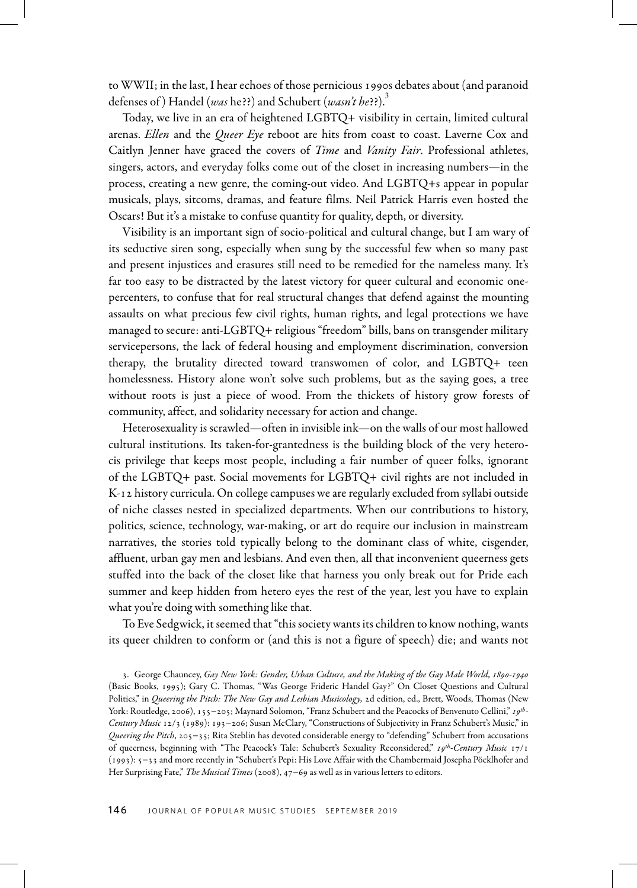to WWII; in thelast, I hearechoes of those pernicious 1990s debatesabout (and paranoid defenses of) Handel (was he??) and Schubert (wasn't he??).<sup>3</sup>

Today, we live in an era of heightened LGBTQ+ visibility in certain, limited cultural arenas. Ellen and the Queer Eye reboot are hits from coast to coast. Laverne Cox and Caitlyn Jenner have graced the covers of Time and Vanity Fair. Professional athletes, singers, actors, and everyday folks come out of the closet in increasing numbers—in the process, creating a new genre, the coming-out video. And LGBTQ+s appear in popular musicals, plays, sitcoms, dramas, and feature films. Neil Patrick Harris even hosted the Oscars! But it's a mistake to confuse quantity for quality, depth, or diversity.

Visibility is an important sign of socio-political and cultural change, but I am wary of its seductive siren song, especially when sung by the successful few when so many past and present injustices and erasures still need to be remedied for the nameless many. It's far too easy to be distracted by the latest victory for queer cultural and economic onepercenters, to confuse that for real structural changes that defend against the mounting assaults on what precious few civil rights, human rights, and legal protections we have managed to secure: anti-LGBTQ+ religious "freedom" bills, bans on transgender military servicepersons, the lack of federal housing and employment discrimination, conversion therapy, the brutality directed toward transwomen of color, and LGBTQ+ teen homelessness. History alone won't solve such problems, but as the saying goes, a tree without roots is just a piece of wood. From the thickets of history grow forests of community, affect, and solidarity necessary for action and change.

Heterosexuality is scrawled—often in invisible ink—on the walls of our most hallowed cultural institutions. Its taken-for-grantedness is the building block of the very heterocis privilege that keeps most people, including a fair number of queer folks, ignorant of the LGBTQ+ past. Social movements for LGBTQ+ civil rights are not included in K-12 history curricula. On college campuses we are regularly excluded from syllabi outside of niche classes nested in specialized departments. When our contributions to history, politics, science, technology, war-making, or art do require our inclusion in mainstream narratives, the stories told typically belong to the dominant class of white, cisgender, affluent, urban gay men and lesbians. And even then, all that inconvenient queerness gets stuffed into the back of the closet like that harness you only break out for Pride each summer and keep hidden from hetero eyes the rest of the year, lest you have to explain what you're doing with something like that.

To Eve Sedgwick, it seemed that"this society wants itschildren to know nothing, wants its queer children to conform or (and this is not a figure of speech) die; and wants not

<sup>3.</sup> George Chauncey, Gay New York: Gender, Urban Culture, and the Making of the Gay Male World, 1890-1940 (Basic Books, 1995); Gary C. Thomas, "Was George Frideric Handel Gay?" On Closet Questions and Cultural Politics," in Queering the Pitch: The New Gay and Lesbian Musicology, 2d edition, ed., Brett, Woods, Thomas (New York: Routledge, 2006), 155−205; Maynard Solomon, "Franz Schubert and the Peacocks of Benvenuto Cellini," 19th-Century Music 12/3 (1989): 193−206; Susan McClary, "Constructions of Subjectivity in Franz Schubert's Music," in Queering the Pitch, 205-35; Rita Steblin has devoted considerable energy to "defending" Schubert from accusations of queerness, beginning with "The Peacock's Tale: Schubert's Sexuality Reconsidered," 19th-Century Music 17/1 (1993): 5−33 and morerecently in "Schubert's Pepi: His Love Affair with the Chambermaid Josepha Pöcklhoferand Her Surprising Fate," The Musical Times (2008), 47-69 as well as in various letters to editors.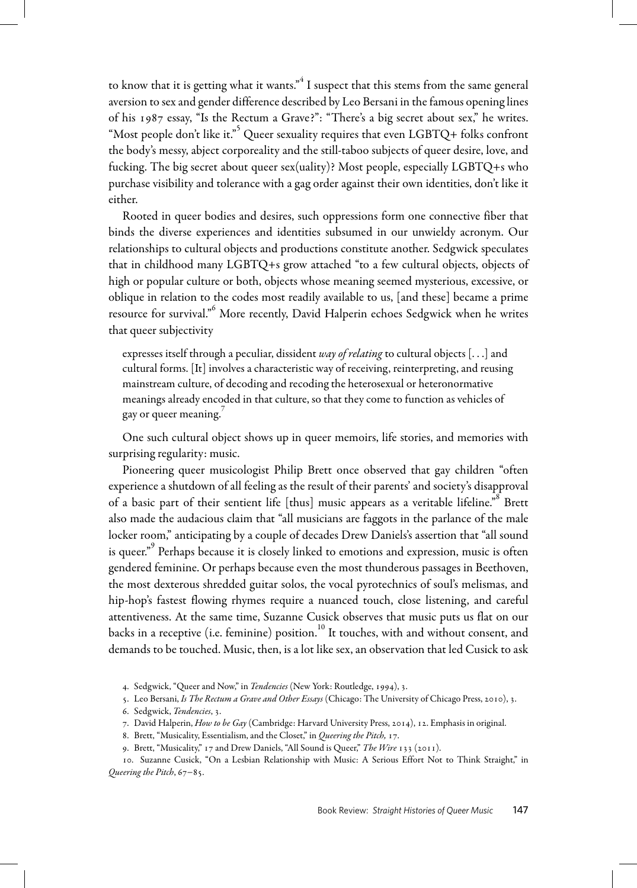to know that it is getting what it wants." $^4$  I suspect that this stems from the same general aversion to sex and gender difference described by Leo Bersani in the famous opening lines of his 1987 essay, "Is the Rectum a Grave?": "There's a big secret about sex," he writes. "Most people don't like it."  $\tilde{Q}$ ueer sexuality requires that even LGBTQ+ folks confront the body's messy, abject corporeality and the still-taboo subjects of queer desire, love, and fucking. The big secret about queer sex(uality)? Most people, especially LGBTQ+s who purchase visibility and tolerance with a gag order against their own identities, don't like it either.

Rooted in queer bodies and desires, such oppressions form one connective fiber that binds the diverse experiences and identities subsumed in our unwieldy acronym. Our relationships to cultural objects and productions constitute another. Sedgwick speculates that in childhood many LGBTQ+s grow attached "to a few cultural objects, objects of high or popular culture or both, objects whose meaning seemed mysterious, excessive, or oblique in relation to the codes most readily available to us, [and these] became a prime resource for survival." <sup>6</sup> More recently, David Halperin echoes Sedgwick when he writes that queer subjectivity

expresses itself through a peculiar, dissident way of relating to cultural objects  $[\ldots]$  and cultural forms. [It] involves a characteristic way of receiving, reinterpreting, and reusing mainstream culture, of decoding and recoding the heterosexual or heteronormative meanings already encoded in that culture, so that they come to function as vehicles of gay or queer meaning.<sup>7</sup>

One such cultural object shows up in queer memoirs, life stories, and memories with surprising regularity: music.

Pioneering queer musicologist Philip Brett once observed that gay children "often experience a shutdown of all feeling as the result of their parents' and society's disapproval of a basic part of their sentient life [thus] music appears as a veritable lifeline.<sup>58</sup> Brett also made the audacious claim that "all musicians are faggots in the parlance of the male locker room," anticipating by a couple of decades Drew Daniels's assertion that "all sound is queer." 9 Perhaps because it is closely linked to emotions and expression, music is often gendered feminine. Or perhaps because even the most thunderous passages in Beethoven, the most dexterous shredded guitar solos, the vocal pyrotechnics of soul's melismas, and hip-hop's fastest flowing rhymes require a nuanced touch, close listening, and careful attentiveness. At the same time, Suzanne Cusick observes that music puts us flat on our backs in a receptive (i.e. feminine) position. $^{10}$  It touches, with and without consent, and demands to be touched. Music, then, is a lot like sex, an observation that led Cusick to ask

4. Sedgwick, "Queer and Now," in Tendencies (New York: Routledge, 1994), 3.

5. Leo Bersani, Is The Rectum a Grave and Other Essays (Chicago: The University of Chicago Press, 2010), 3.

- 7. David Halperin, How to be Gay (Cambridge: Harvard University Press, 2014), 12. Emphasis in original.
- 8. Brett, "Musicality, Essentialism, and the Closet," in Queering the Pitch, 17.
- 9. Brett, "Musicality," 17 and Drew Daniels, "All Sound is Queer," The Wire 133 (2011).

10. Suzanne Cusick, "On a Lesbian Relationship with Music: A Serious Effort Not to Think Straight," in Queering the Pitch, 67−85.

<sup>6.</sup> Sedgwick, Tendencies, 3.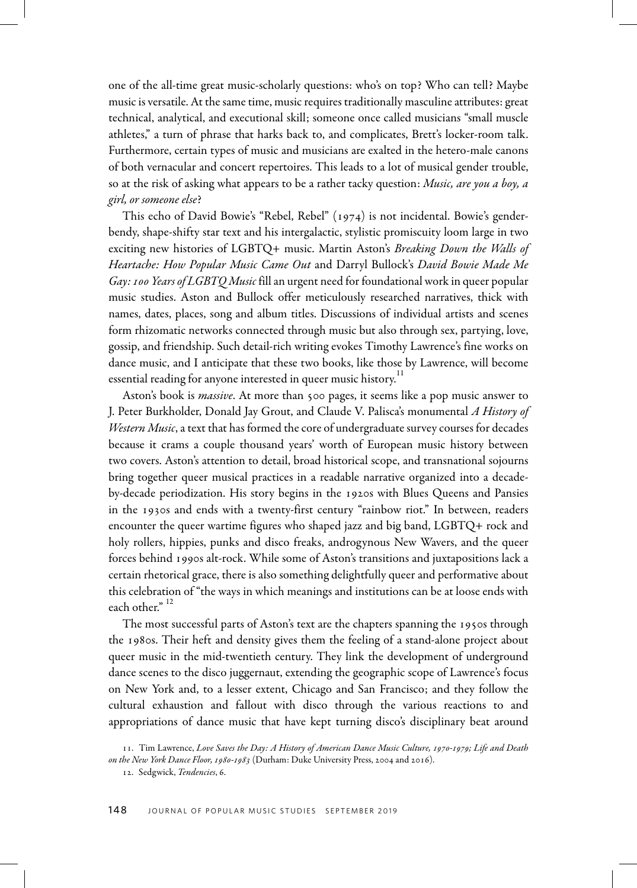one of the all-time great music-scholarly questions: who's on top? Who can tell? Maybe music is versatile. At the same time, music requires traditionally masculine attributes: great technical, analytical, and executional skill; someone once called musicians "small muscle athletes," a turn of phrase that harks back to, and complicates, Brett's locker-room talk. Furthermore, certain types of music and musicians are exalted in the hetero-male canons of both vernacular and concert repertoires. This leads to a lot of musical gender trouble, so at the risk of asking what appears to be a rather tacky question: Music, are you a boy, a girl, or someone else?

This echo of David Bowie's "Rebel, Rebel" (1974) is not incidental. Bowie's genderbendy, shape-shifty star text and his intergalactic, stylistic promiscuity loom large in two exciting new histories of LGBTQ+ music. Martin Aston's Breaking Down the Walls of Heartache: How Popular Music Came Out and Darryl Bullock's David Bowie Made Me Gay: 100 Years of LGBTQ Music fill an urgent need for foundational work in queer popular music studies. Aston and Bullock offer meticulously researched narratives, thick with names, dates, places, song and album titles. Discussions of individual artists and scenes form rhizomatic networks connected through music but also through sex, partying, love, gossip, and friendship. Such detail-rich writing evokes Timothy Lawrence's fine works on dance music, and I anticipate that these two books, like those by Lawrence, will become essential reading for anyone interested in queer music history. $^{\rm 11}$ 

Aston's book is *massive*. At more than 500 pages, it seems like a pop music answer to J. Peter Burkholder, Donald Jay Grout, and Claude V. Palisca's monumental A History of Western Music, a text that has formed the core of undergraduate survey courses for decades because it crams a couple thousand years' worth of European music history between two covers. Aston's attention to detail, broad historical scope, and transnational sojourns bring together queer musical practices in a readable narrative organized into a decadeby-decade periodization. His story begins in the 1920s with Blues Queens and Pansies in the 1930s and ends with a twenty-first century "rainbow riot." In between, readers encounter the queer wartime figures who shaped jazz and big band, LGBTQ+ rock and holy rollers, hippies, punks and disco freaks, androgynous New Wavers, and the queer forces behind 1990s alt-rock. While some of Aston's transitions and juxtapositions lack a certain rhetorical grace, there is also something delightfully queer and performative about this celebration of "the ways in which meanings and institutions can be at loose ends with each other." <sup>12</sup>

The most successful parts of Aston's text are the chapters spanning the 1950s through the 1980s. Their heft and density gives them the feeling of a stand-alone project about queer music in the mid-twentieth century. They link the development of underground dance scenes to the disco juggernaut, extending the geographic scope of Lawrence's focus on New York and, to a lesser extent, Chicago and San Francisco; and they follow the cultural exhaustion and fallout with disco through the various reactions to and appropriations of dance music that have kept turning disco's disciplinary beat around

<sup>11.</sup> Tim Lawrence, Love Saves the Day: A History of American Dance Music Culture, 1970-1979; Life and Death on the New York Dance Floor, 1980-1983 (Durham: Duke University Press, 2004 and 2016).

<sup>12.</sup> Sedgwick, Tendencies, 6.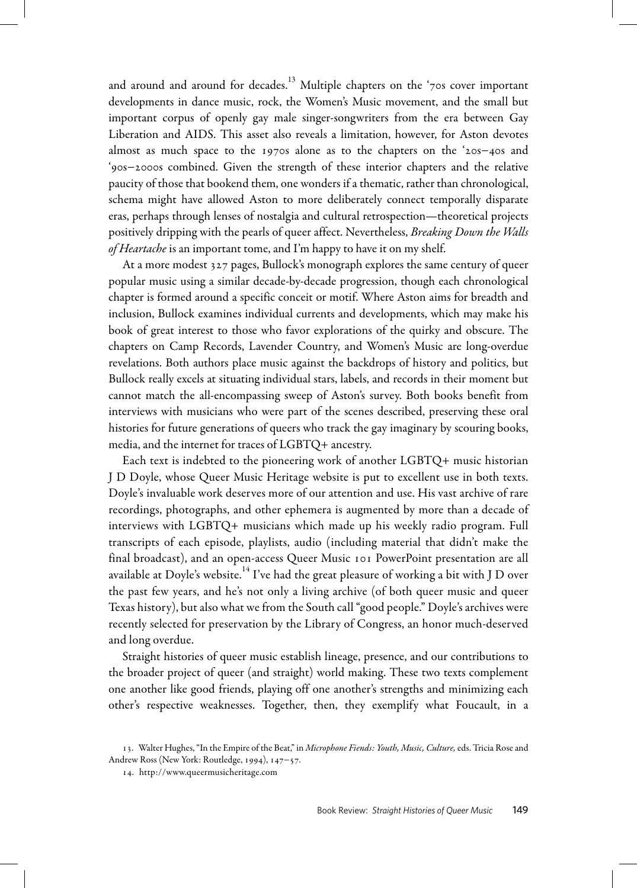and around and around for decades. $^{\rm 13}$  Multiple chapters on the '70s cover important developments in dance music, rock, the Women's Music movement, and the small but important corpus of openly gay male singer-songwriters from the era between Gay Liberation and AIDS. This asset also reveals a limitation, however, for Aston devotes almost as much space to the 1970s alone as to the chapters on the '20s−40s and '90s−2000s combined. Given the strength of these interior chapters and the relative paucity of those that bookend them, one wonders if a thematic, rather than chronological, schema might have allowed Aston to more deliberately connect temporally disparate eras, perhaps through lenses of nostalgia and cultural retrospection—theoretical projects positively dripping with the pearls of queer affect. Nevertheless, Breaking Down the Walls of Heartache is an important tome, and I'm happy to have it on my shelf.

At a more modest 327 pages, Bullock's monograph explores the same century of queer popular music using a similar decade-by-decade progression, though each chronological chapter is formed around a specific conceit or motif. Where Aston aims for breadth and inclusion, Bullock examines individual currents and developments, which may make his book of great interest to those who favor explorations of the quirky and obscure. The chapters on Camp Records, Lavender Country, and Women's Music are long-overdue revelations. Both authors place music against the backdrops of history and politics, but Bullock really excels at situating individual stars, labels, and records in their moment but cannot match the all-encompassing sweep of Aston's survey. Both books benefit from interviews with musicians who were part of the scenes described, preserving these oral histories for future generations of queers who track the gay imaginary by scouring books, media, and the internet for traces of LGBTQ+ ancestry.

Each text is indebted to the pioneering work of another LGBTQ+ music historian J D Doyle, whose Queer Music Heritage website is put to excellent use in both texts. Doyle's invaluable work deserves more of our attention and use. His vast archive of rare recordings, photographs, and other ephemera is augmented by more than a decade of interviews with LGBTQ+ musicians which made up his weekly radio program. Full transcripts of each episode, playlists, audio (including material that didn't make the final broadcast), and an open-access Queer Music 101 PowerPoint presentation are all available at Doyle's website. $^{14}$  I've had the great pleasure of working a bit with J D over the past few years, and he's not only a living archive (of both queer music and queer Texas history), but also what we from the South call "good people." Doyle's archives were recently selected for preservation by the Library of Congress, an honor much-deserved and long overdue.

Straight histories of queer music establish lineage, presence, and our contributions to the broader project of queer (and straight) world making. These two texts complement one another like good friends, playing off one another's strengths and minimizing each other's respective weaknesses. Together, then, they exemplify what Foucault, in a

<sup>13.</sup> Walter Hughes, "In the Empire of the Beat," in Microphone Fiends: Youth, Music, Culture, eds. Tricia Rose and Andrew Ross (New York: Routledge, 1994), 147−57.

<sup>14.</sup> <http://www.queermusicheritage.com>